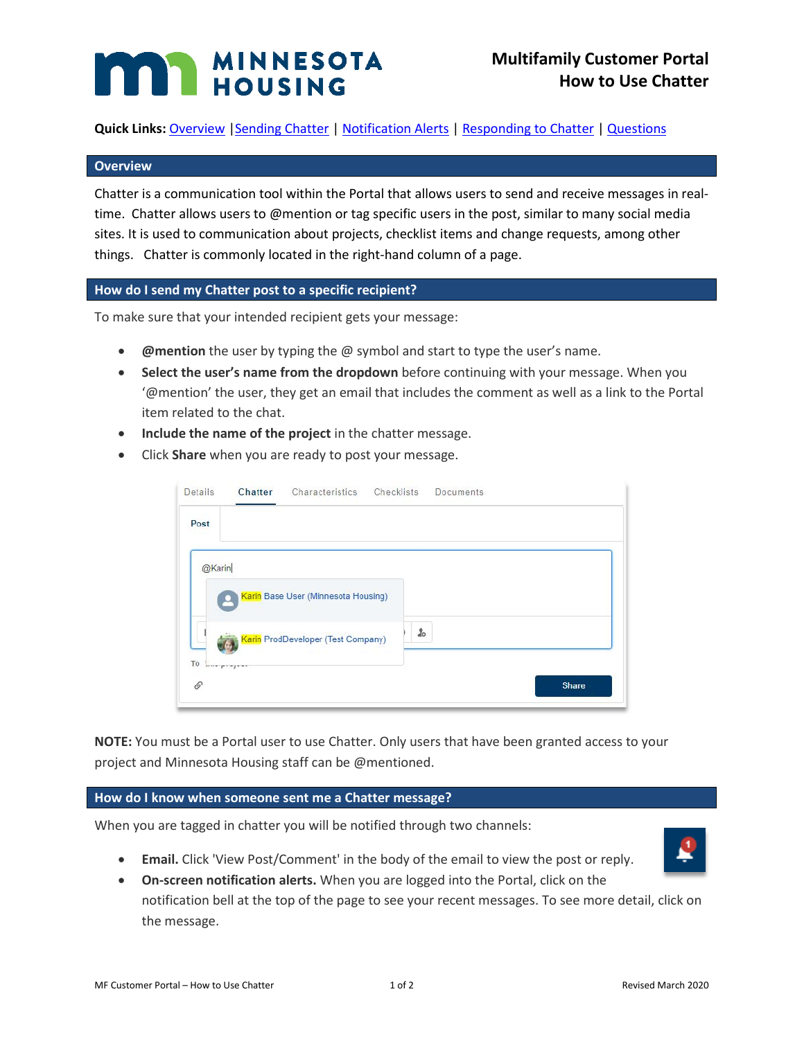# **MINNESOTA**

**Quick Links: [Overview](#page-0-0) | Sending Chatter [| Notification Alerts](#page-0-2) | [Responding to Chatter](#page-1-0) | [Questions](#page-1-1)** 

## <span id="page-0-0"></span>**Overview**

Chatter is a communication tool within the Portal that allows users to send and receive messages in realtime. Chatter allows users to @mention or tag specific users in the post, similar to many social media sites. It is used to communication about projects, checklist items and change requests, among other things. Chatter is commonly located in the right-hand column of a page.

## <span id="page-0-1"></span>**How do I send my Chatter post to a specific recipient?**

To make sure that your intended recipient gets your message:

- **@mention** the user by typing the @ symbol and start to type the user's name.
- **Select the user's name from the dropdown** before continuing with your message. When you '@mention' the user, they get an email that includes the comment as well as a link to the Portal item related to the chat.
- **Include the name of the project** in the chatter message.
- Click **Share** when you are ready to post your message.

| <b>Details</b> | Chatter    | Characteristics                     | Checklists | Documents |       |
|----------------|------------|-------------------------------------|------------|-----------|-------|
| Post           |            |                                     |            |           |       |
| @Karin         |            |                                     |            |           |       |
|                |            | Karin Base User (Minnesota Housing) |            |           |       |
|                |            | Karin ProdDeveloper (Test Company)  | $\pmb{2}$  |           |       |
| To<br>6        | www.bushin |                                     |            |           | Share |

**NOTE:** You must be a Portal user to use Chatter. Only users that have been granted access to your project and Minnesota Housing staff can be @mentioned.

#### <span id="page-0-2"></span>**How do I know when someone sent me a Chatter message?**

When you are tagged in chatter you will be notified through two channels:

• **Email.** Click 'View Post/Comment' in the body of the email to view the post or reply.



• **On-screen notification alerts.** When you are logged into the Portal, click on the notification bell at the top of the page to see your recent messages. To see more detail, click on

the message.